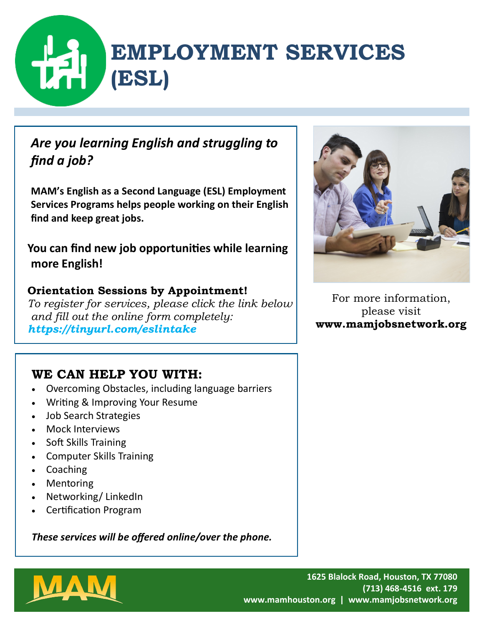# **EMPLOYMENT SERVICES (ESL)**

### *Are you learning English and struggling to find a job?*

**MAM's English as a Second Language (ESL) Employment Services Programs helps people working on their English find and keep great jobs.**

**You can find new job opportunities while learning more English!**

### **Orientation Sessions by Appointment!**

*To register for services, please click the link below and fill out the online form completely: https://tinyurl.com/eslintake*

### **WE CAN HELP YOU WITH:**

- Overcoming Obstacles, including language barriers
- Writing & Improving Your Resume
- Job Search Strategies
- Mock Interviews
- Soft Skills Training
- Computer Skills Training
- Coaching
- Mentoring
- Networking/ LinkedIn
- Certification Program

*These services will be offered online/over the phone.*



For more information, please visit **www.mamjobsnetwork.org**